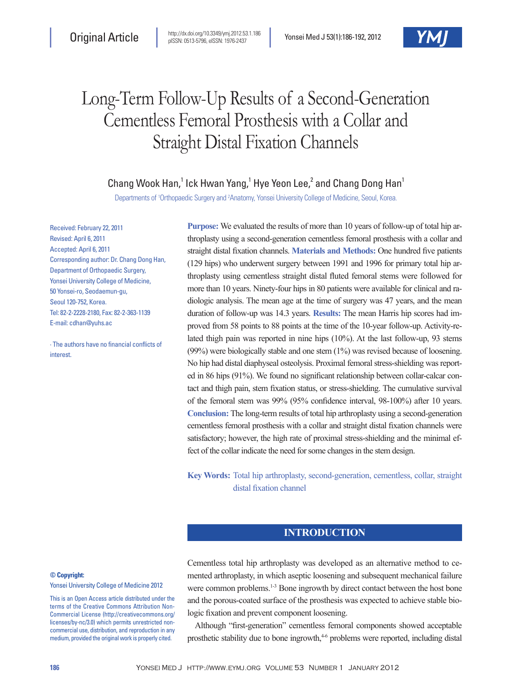# Long-Term Follow-Up Results of a Second-Generation Cementless Femoral Prosthesis with a Collar and Straight Distal Fixation Channels

Chang Wook Han,<sup>1</sup> Ick Hwan Yang,<sup>1</sup> Hye Yeon Lee,<sup>2</sup> and Chang Dong Han<sup>1</sup>

Departments of <sup>1</sup>Orthopaedic Surgery and <sup>2</sup>Anatomy, Yonsei University College of Medicine, Seoul, Korea.

Received: February 22, 2011 Revised: April 6, 2011 Accepted: April 6, 2011 Corresponding author: Dr. Chang Dong Han, Department of Orthopaedic Surgery, Yonsei University College of Medicine, 50 Yonsei-ro, Seodaemun-gu, Seoul 120-752, Korea. Tel: 82-2-2228-2180, Fax: 82-2-363-1139 E-mail: cdhan@yuhs.ac

∙ The authors have no financial conflicts of interest.

**Purpose:** We evaluated the results of more than 10 years of follow-up of total hip arthroplasty using a second-generation cementless femoral prosthesis with a collar and straight distal fixation channels. **Materials and Methods:** One hundred five patients (129 hips) who underwent surgery between 1991 and 1996 for primary total hip arthroplasty using cementless straight distal fluted femoral stems were followed for more than 10 years. Ninety-four hips in 80 patients were available for clinical and radiologic analysis. The mean age at the time of surgery was 47 years, and the mean duration of follow-up was 14.3 years. **Results:** The mean Harris hip scores had improved from 58 points to 88 points at the time of the 10-year follow-up. Activity-related thigh pain was reported in nine hips (10%). At the last follow-up, 93 stems (99%) were biologically stable and one stem (1%) was revised because of loosening. No hip had distal diaphyseal osteolysis. Proximal femoral stress-shielding was reported in 86 hips (91%). We found no significant relationship between collar-calcar contact and thigh pain, stem fixation status, or stress-shielding. The cumulative survival of the femoral stem was 99% (95% confidence interval, 98-100%) after 10 years. **Conclusion:** The long-term results of total hip arthroplasty using a second-generation cementless femoral prosthesis with a collar and straight distal fixation channels were satisfactory; however, the high rate of proximal stress-shielding and the minimal effect of the collar indicate the need for some changes in the stem design.

**Key Words:** Total hip arthroplasty, second-generation, cementless, collar, straight distal fixation channel

# **INTRODUCTION**

**© Copyright:**

Yonsei University College of Medicine 2012

This is an Open Access article distributed under the terms of the Creative Commons Attribution Non-Commercial License (http://creativecommons.org/ licenses/by-nc/3.0) which permits unrestricted noncommercial use, distribution, and reproduction in any medium, provided the original work is properly cited.

Cementless total hip arthroplasty was developed as an alternative method to cemented arthroplasty, in which aseptic loosening and subsequent mechanical failure were common problems.<sup>1-3</sup> Bone ingrowth by direct contact between the host bone and the porous-coated surface of the prosthesis was expected to achieve stable biologic fixation and prevent component loosening.

Although "first-generation" cementless femoral components showed acceptable prosthetic stability due to bone ingrowth,<sup>4-6</sup> problems were reported, including distal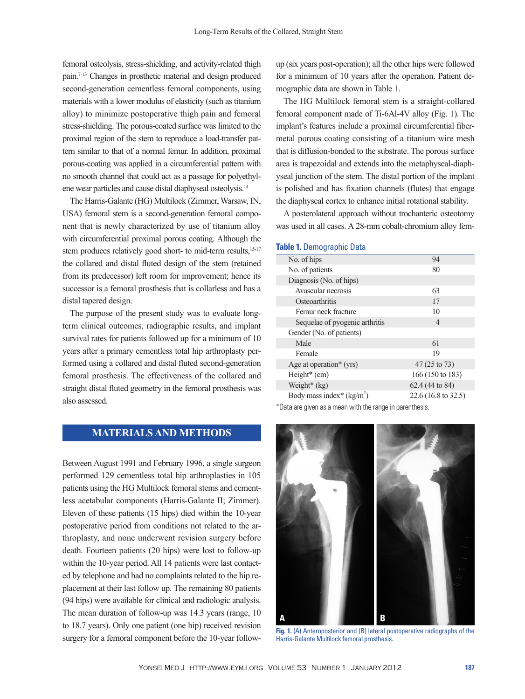femoral osteolysis, stress-shielding, and activity-related thigh pain.7-13 Changes in prosthetic material and design produced second-generation cementless femoral components, using materials with a lower modulus of elasticity (such as titanium alloy) to minimize postoperative thigh pain and femoral stress-shielding. The porous-coated surface was limited to the proximal region of the stem to reproduce a load-transfer pattern similar to that of a normal femur. In addition, proximal porous-coating was applied in a circumferential pattern with no smooth channel that could act as a passage for polyethylene wear particles and cause distal diaphyseal osteolysis.14

The Harris-Galante (HG) Multilock (Zimmer, Warsaw, IN, USA) femoral stem is a second-generation femoral component that is newly characterized by use of titanium alloy with circumferential proximal porous coating. Although the stem produces relatively good short- to mid-term results,<sup>15-17</sup> the collared and distal fluted design of the stem (retained from its predecessor) left room for improvement; hence its successor is a femoral prosthesis that is collarless and has a distal tapered design.

The purpose of the present study was to evaluate longterm clinical outcomes, radiographic results, and implant survival rates for patients followed up for a minimum of 10 years after a primary cementless total hip arthroplasty performed using a collared and distal fluted second-generation femoral prosthesis. The effectiveness of the collared and straight distal fluted geometry in the femoral prosthesis was also assessed.

# **MATERIALS AND METHODS**

Between August 1991 and February 1996, a single surgeon performed 129 cementless total hip arthroplasties in 105 patients using the HG Multilock femoral stems and cementless acetabular components (Harris-Galante II; Zimmer). Eleven of these patients (15 hips) died within the 10-year postoperative period from conditions not related to the arthroplasty, and none underwent revision surgery before death. Fourteen patients (20 hips) were lost to follow-up within the 10-year period. All 14 patients were last contacted by telephone and had no complaints related to the hip replacement at their last follow up. The remaining 80 patients (94 hips) were available for clinical and radiologic analysis. The mean duration of follow-up was 14.3 years (range, 10 to 18.7 years). Only one patient (one hip) received revision surgery for a femoral component before the 10-year followup (six years post-operation); all the other hips were followed for a minimum of 10 years after the operation. Patient demographic data are shown in Table 1.

The HG Multilock femoral stem is a straight-collared femoral component made of Ti-6Al-4V alloy (Fig. 1). The implant's features include a proximal circumferential fibermetal porous coating consisting of a titanium wire mesh that is diffusion-bonded to the substrate. The porous surface area is trapezoidal and extends into the metaphyseal-diaphyseal junction of the stem. The distal portion of the implant is polished and has fixation channels (flutes) that engage the diaphyseal cortex to enhance initial rotational stability.

A posterolateral approach without trochanteric osteotomy was used in all cases. A 28-mm cobalt-chromium alloy fem-

#### **Table 1.** Demographic Data

| No. of hips                    | 94                            |
|--------------------------------|-------------------------------|
| No. of patients                | 80                            |
| Diagnosis (No. of hips)        |                               |
| Avascular necrosis             | 63                            |
| Osteoarthritis                 | 17                            |
| Femur neck fracture            | 10                            |
| Sequelae of pyogenic arthritis | 4                             |
| Gender (No. of patients)       |                               |
| Male                           | 61                            |
| Female                         | 19                            |
| Age at operation* $(yrs)$      | 47 (25 to 73)                 |
| Height* (cm)                   | 166 (150 to 183)              |
| Weight* (kg)                   | 62.4 (44 to 84)               |
| Body mass index* $(kg/m2)$     | $22.6(16.8 \text{ to } 32.5)$ |
|                                |                               |

\*Data are given as a mean with the range in parenthesis.



**Fig. 1.** (A) Anteroposterior and (B) lateral postoperative radiographs of the Harris-Galante Multilock femoral prosthesis.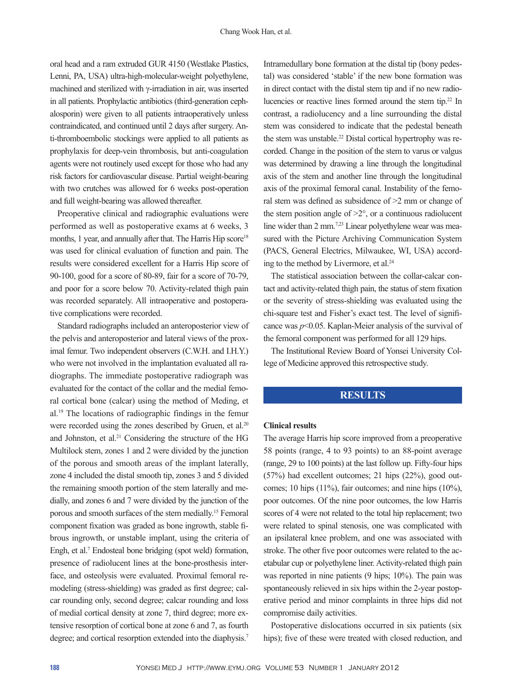oral head and a ram extruded GUR 4150 (Westlake Plastics, Lenni, PA, USA) ultra-high-molecular-weight polyethylene, machined and sterilized with γ-irradiation in air, was inserted in all patients. Prophylactic antibiotics (third-generation cephalosporin) were given to all patients intraoperatively unless contraindicated, and continued until 2 days after surgery. Anti-thromboembolic stockings were applied to all patients as prophylaxis for deep-vein thrombosis, but anti-coagulation agents were not routinely used except for those who had any risk factors for cardiovascular disease. Partial weight-bearing with two crutches was allowed for 6 weeks post-operation and full weight-bearing was allowed thereafter.

Preoperative clinical and radiographic evaluations were performed as well as postoperative exams at 6 weeks, 3 months, 1 year, and annually after that. The Harris Hip score<sup>18</sup> was used for clinical evaluation of function and pain. The results were considered excellent for a Harris Hip score of 90-100, good for a score of 80-89, fair for a score of 70-79, and poor for a score below 70. Activity-related thigh pain was recorded separately. All intraoperative and postoperative complications were recorded.

Standard radiographs included an anteroposterior view of the pelvis and anteroposterior and lateral views of the proximal femur. Two independent observers (C.W.H. and I.H.Y.) who were not involved in the implantation evaluated all radiographs. The immediate postoperative radiograph was evaluated for the contact of the collar and the medial femoral cortical bone (calcar) using the method of Meding, et al.19 The locations of radiographic findings in the femur were recorded using the zones described by Gruen, et al.<sup>20</sup> and Johnston, et al.<sup>21</sup> Considering the structure of the HG Multilock stem, zones 1 and 2 were divided by the junction of the porous and smooth areas of the implant laterally, zone 4 included the distal smooth tip, zones 3 and 5 divided the remaining smooth portion of the stem laterally and medially, and zones 6 and 7 were divided by the junction of the porous and smooth surfaces of the stem medially.15 Femoral component fixation was graded as bone ingrowth, stable fibrous ingrowth, or unstable implant, using the criteria of Engh, et al.7 Endosteal bone bridging (spot weld) formation, presence of radiolucent lines at the bone-prosthesis interface, and osteolysis were evaluated. Proximal femoral remodeling (stress-shielding) was graded as first degree; calcar rounding only, second degree; calcar rounding and loss of medial cortical density at zone 7, third degree; more extensive resorption of cortical bone at zone 6 and 7, as fourth degree; and cortical resorption extended into the diaphysis.<sup>7</sup>

Intramedullary bone formation at the distal tip (bony pedestal) was considered 'stable' if the new bone formation was in direct contact with the distal stem tip and if no new radiolucencies or reactive lines formed around the stem tip.22 In contrast, a radiolucency and a line surrounding the distal stem was considered to indicate that the pedestal beneath the stem was unstable.<sup>22</sup> Distal cortical hypertrophy was recorded. Change in the position of the stem to varus or valgus was determined by drawing a line through the longitudinal axis of the stem and another line through the longitudinal axis of the proximal femoral canal. Instability of the femoral stem was defined as subsidence of >2 mm or change of the stem position angle of  $>2^{\circ}$ , or a continuous radiolucent line wider than 2 mm.<sup>7,23</sup> Linear polyethylene wear was measured with the Picture Archiving Communication System (PACS, General Electrics, Milwaukee, WI, USA) according to the method by Livermore, et al.24

The statistical association between the collar-calcar contact and activity-related thigh pain, the status of stem fixation or the severity of stress-shielding was evaluated using the chi-square test and Fisher's exact test. The level of significance was *p*<0.05. Kaplan-Meier analysis of the survival of the femoral component was performed for all 129 hips.

The Institutional Review Board of Yonsei University College of Medicine approved this retrospective study.

### **RESULTS**

#### **Clinical results**

The average Harris hip score improved from a preoperative 58 points (range, 4 to 93 points) to an 88-point average (range, 29 to 100 points) at the last follow up. Fifty-four hips (57%) had excellent outcomes; 21 hips (22%), good outcomes; 10 hips (11%), fair outcomes; and nine hips (10%), poor outcomes. Of the nine poor outcomes, the low Harris scores of 4 were not related to the total hip replacement; two were related to spinal stenosis, one was complicated with an ipsilateral knee problem, and one was associated with stroke. The other five poor outcomes were related to the acetabular cup or polyethylene liner. Activity-related thigh pain was reported in nine patients (9 hips; 10%). The pain was spontaneously relieved in six hips within the 2-year postoperative period and minor complaints in three hips did not compromise daily activities.

Postoperative dislocations occurred in six patients (six hips); five of these were treated with closed reduction, and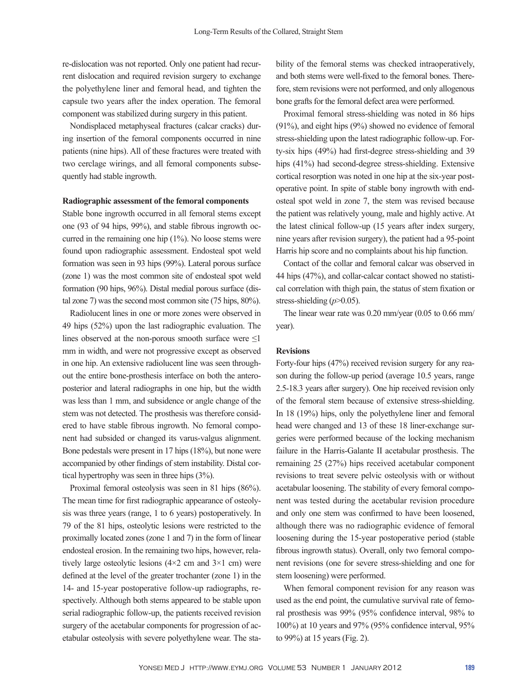re-dislocation was not reported. Only one patient had recurrent dislocation and required revision surgery to exchange the polyethylene liner and femoral head, and tighten the capsule two years after the index operation. The femoral component was stabilized during surgery in this patient.

Nondisplaced metaphyseal fractures (calcar cracks) during insertion of the femoral components occurred in nine patients (nine hips). All of these fractures were treated with two cerclage wirings, and all femoral components subsequently had stable ingrowth.

#### **Radiographic assessment of the femoral components**

Stable bone ingrowth occurred in all femoral stems except one (93 of 94 hips, 99%), and stable fibrous ingrowth occurred in the remaining one hip (1%). No loose stems were found upon radiographic assessment. Endosteal spot weld formation was seen in 93 hips (99%). Lateral porous surface (zone 1) was the most common site of endosteal spot weld formation (90 hips, 96%). Distal medial porous surface (distal zone 7) was the second most common site (75 hips, 80%).

Radiolucent lines in one or more zones were observed in 49 hips (52%) upon the last radiographic evaluation. The lines observed at the non-porous smooth surface were  $\leq 1$ mm in width, and were not progressive except as observed in one hip. An extensive radiolucent line was seen throughout the entire bone-prosthesis interface on both the anteroposterior and lateral radiographs in one hip, but the width was less than 1 mm, and subsidence or angle change of the stem was not detected. The prosthesis was therefore considered to have stable fibrous ingrowth. No femoral component had subsided or changed its varus-valgus alignment. Bone pedestals were present in 17 hips (18%), but none were accompanied by other findings of stem instability. Distal cortical hypertrophy was seen in three hips (3%).

Proximal femoral osteolysis was seen in 81 hips (86%). The mean time for first radiographic appearance of osteolysis was three years (range, 1 to 6 years) postoperatively. In 79 of the 81 hips, osteolytic lesions were restricted to the proximally located zones (zone 1 and 7) in the form of linear endosteal erosion. In the remaining two hips, however, relatively large osteolytic lesions  $(4\times2$  cm and  $3\times1$  cm) were defined at the level of the greater trochanter (zone 1) in the 14- and 15-year postoperative follow-up radiographs, respectively. Although both stems appeared to be stable upon serial radiographic follow-up, the patients received revision surgery of the acetabular components for progression of acetabular osteolysis with severe polyethylene wear. The stability of the femoral stems was checked intraoperatively, and both stems were well-fixed to the femoral bones. Therefore, stem revisions were not performed, and only allogenous bone grafts for the femoral defect area were performed.

Proximal femoral stress-shielding was noted in 86 hips (91%), and eight hips (9%) showed no evidence of femoral stress-shielding upon the latest radiographic follow-up. Forty-six hips (49%) had first-degree stress-shielding and 39 hips (41%) had second-degree stress-shielding. Extensive cortical resorption was noted in one hip at the six-year postoperative point. In spite of stable bony ingrowth with endosteal spot weld in zone 7, the stem was revised because the patient was relatively young, male and highly active. At the latest clinical follow-up (15 years after index surgery, nine years after revision surgery), the patient had a 95-point Harris hip score and no complaints about his hip function.

Contact of the collar and femoral calcar was observed in 44 hips (47%), and collar-calcar contact showed no statistical correlation with thigh pain, the status of stem fixation or stress-shielding (*p*>0.05).

The linear wear rate was 0.20 mm/year (0.05 to 0.66 mm/ year).

#### **Revisions**

Forty-four hips (47%) received revision surgery for any reason during the follow-up period (average 10.5 years, range 2.5-18.3 years after surgery). One hip received revision only of the femoral stem because of extensive stress-shielding. In 18 (19%) hips, only the polyethylene liner and femoral head were changed and 13 of these 18 liner-exchange surgeries were performed because of the locking mechanism failure in the Harris-Galante II acetabular prosthesis. The remaining 25 (27%) hips received acetabular component revisions to treat severe pelvic osteolysis with or without acetabular loosening. The stability of every femoral component was tested during the acetabular revision procedure and only one stem was confirmed to have been loosened, although there was no radiographic evidence of femoral loosening during the 15-year postoperative period (stable fibrous ingrowth status). Overall, only two femoral component revisions (one for severe stress-shielding and one for stem loosening) were performed.

When femoral component revision for any reason was used as the end point, the cumulative survival rate of femoral prosthesis was 99% (95% confidence interval, 98% to 100%) at 10 years and 97% (95% confidence interval, 95% to 99%) at 15 years (Fig. 2).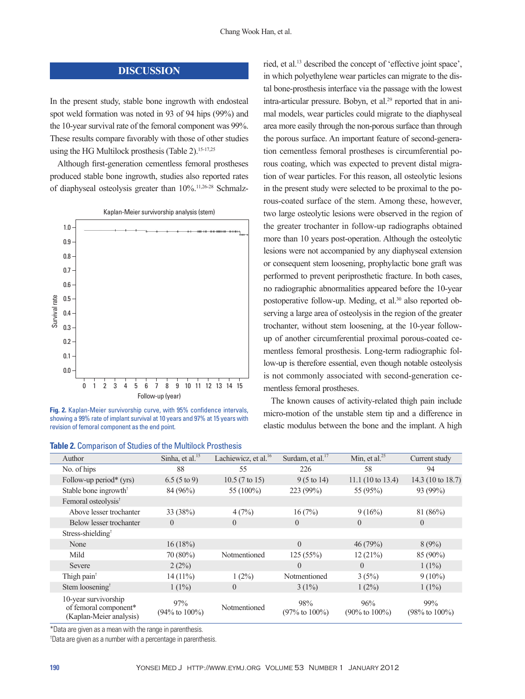## **DISCUSSION**

In the present study, stable bone ingrowth with endosteal spot weld formation was noted in 93 of 94 hips (99%) and the 10-year survival rate of the femoral component was 99%. These results compare favorably with those of other studies using the HG Multilock prosthesis (Table 2).<sup>15-17,25</sup>

Although first-generation cementless femoral prostheses produced stable bone ingrowth, studies also reported rates of diaphyseal osteolysis greater than 10%.11,26-28 Schmalz-



**Fig. 2.** Kaplan-Meier survivorship curve, with 95% confidence intervals, showing a 99% rate of implant survival at 10 years and 97% at 15 years with revision of femoral component as the end point.

| <b>Table 2. Comparison of Studies of the Multilock Prosthesis</b> |  |  |  |  |
|-------------------------------------------------------------------|--|--|--|--|
|-------------------------------------------------------------------|--|--|--|--|

ried, et al.13 described the concept of 'effective joint space', in which polyethylene wear particles can migrate to the distal bone-prosthesis interface via the passage with the lowest intra-articular pressure. Bobyn, et al.29 reported that in animal models, wear particles could migrate to the diaphyseal area more easily through the non-porous surface than through the porous surface. An important feature of second-generation cementless femoral prostheses is circumferential porous coating, which was expected to prevent distal migration of wear particles. For this reason, all osteolytic lesions in the present study were selected to be proximal to the porous-coated surface of the stem. Among these, however, two large osteolytic lesions were observed in the region of the greater trochanter in follow-up radiographs obtained more than 10 years post-operation. Although the osteolytic lesions were not accompanied by any diaphyseal extension or consequent stem loosening, prophylactic bone graft was performed to prevent periprosthetic fracture. In both cases, no radiographic abnormalities appeared before the 10-year postoperative follow-up. Meding, et al.30 also reported observing a large area of osteolysis in the region of the greater trochanter, without stem loosening, at the 10-year followup of another circumferential proximal porous-coated cementless femoral prosthesis. Long-term radiographic follow-up is therefore essential, even though notable osteolysis is not commonly associated with second-generation cementless femoral prostheses.

The known causes of activity-related thigh pain include micro-motion of the unstable stem tip and a difference in elastic modulus between the bone and the implant. A high

| <b>Table 2.</b> Comparison of Studies of the Multilock Prostriesis |                                                                          |                                   |                                  |                                   |                                   |                                   |  |  |
|--------------------------------------------------------------------|--------------------------------------------------------------------------|-----------------------------------|----------------------------------|-----------------------------------|-----------------------------------|-----------------------------------|--|--|
|                                                                    | Author                                                                   | Sinha, et al. <sup>15</sup>       | Lachiewicz, et al. <sup>16</sup> | Surdam, et al. <sup>17</sup>      | Min, et al. $^{25}$               | Current study                     |  |  |
|                                                                    | No. of hips                                                              | 88                                | 55                               | 226                               | 58                                | 94                                |  |  |
|                                                                    | Follow-up period* (yrs)                                                  | $6.5(5 \text{ to } 9)$            | $10.5(7 \text{ to } 15)$         | $9(5 \text{ to } 14)$             | 11.1(10 to 13.4)                  | 14.3 (10 to 18.7)                 |  |  |
|                                                                    | Stable bone ingrowth <sup>†</sup>                                        | 84 (96%)                          | 55 (100%)                        | 223 (99%)                         | 55 (95%)                          | 93 (99%)                          |  |  |
|                                                                    | Femoral osteolysis <sup>†</sup>                                          |                                   |                                  |                                   |                                   |                                   |  |  |
|                                                                    | Above lesser trochanter                                                  | 33 (38%)                          | 4(7%)                            | 16(7%)                            | 9(16%)                            | 81(86%)                           |  |  |
|                                                                    | Below lesser trochanter                                                  | $\Omega$                          | $\Omega$                         | $\theta$                          | $\theta$                          | $\Omega$                          |  |  |
|                                                                    | Stress-shielding <sup>†</sup>                                            |                                   |                                  |                                   |                                   |                                   |  |  |
|                                                                    | None                                                                     | 16(18%)                           |                                  | $\Omega$                          | 46(79%)                           | 8(9%)                             |  |  |
|                                                                    | Mild                                                                     | 70 (80%)                          | Notmentioned                     | 125(55%)                          | 12(21%)                           | 85 (90%)                          |  |  |
|                                                                    | Severe                                                                   | 2(2%)                             |                                  | $\Omega$                          | $\Omega$                          | $1(1\%)$                          |  |  |
|                                                                    | Thigh pain <sup>†</sup>                                                  | $14(11\%)$                        | $1(2\%)$                         | Notmentioned                      | 3(5%)                             | $9(10\%)$                         |  |  |
|                                                                    | Stem loosening <sup>†</sup>                                              | $1(1\%)$                          | $\overline{0}$                   | $3(1\%)$                          | $1(2\%)$                          | $1(1\%)$                          |  |  |
|                                                                    | 10-year survivorship<br>of femoral component*<br>(Kaplan-Meier analysis) | 97%<br>$(94\% \text{ to } 100\%)$ | Notmentioned                     | 98%<br>$(97\% \text{ to } 100\%)$ | 96%<br>$(90\% \text{ to } 100\%)$ | 99%<br>$(98\% \text{ to } 100\%)$ |  |  |

\*Data are given as a mean with the range in parenthesis.

† Data are given as a number with a percentage in parenthesis.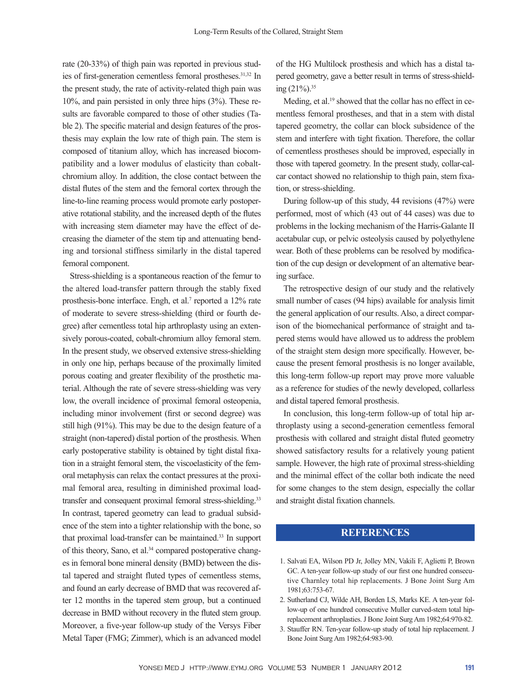rate (20-33%) of thigh pain was reported in previous studies of first-generation cementless femoral prostheses.<sup>31,32</sup> In the present study, the rate of activity-related thigh pain was 10%, and pain persisted in only three hips (3%). These results are favorable compared to those of other studies (Table 2). The specific material and design features of the prosthesis may explain the low rate of thigh pain. The stem is composed of titanium alloy, which has increased biocompatibility and a lower modulus of elasticity than cobaltchromium alloy. In addition, the close contact between the distal flutes of the stem and the femoral cortex through the line-to-line reaming process would promote early postoperative rotational stability, and the increased depth of the flutes with increasing stem diameter may have the effect of decreasing the diameter of the stem tip and attenuating bending and torsional stiffness similarly in the distal tapered femoral component.

Stress-shielding is a spontaneous reaction of the femur to the altered load-transfer pattern through the stably fixed prosthesis-bone interface. Engh, et al.<sup>7</sup> reported a 12% rate of moderate to severe stress-shielding (third or fourth degree) after cementless total hip arthroplasty using an extensively porous-coated, cobalt-chromium alloy femoral stem. In the present study, we observed extensive stress-shielding in only one hip, perhaps because of the proximally limited porous coating and greater flexibility of the prosthetic material. Although the rate of severe stress-shielding was very low, the overall incidence of proximal femoral osteopenia, including minor involvement (first or second degree) was still high (91%). This may be due to the design feature of a straight (non-tapered) distal portion of the prosthesis. When early postoperative stability is obtained by tight distal fixation in a straight femoral stem, the viscoelasticity of the femoral metaphysis can relax the contact pressures at the proximal femoral area, resulting in diminished proximal loadtransfer and consequent proximal femoral stress-shielding.<sup>33</sup> In contrast, tapered geometry can lead to gradual subsidence of the stem into a tighter relationship with the bone, so that proximal load-transfer can be maintained.33 In support of this theory, Sano, et al.<sup>34</sup> compared postoperative changes in femoral bone mineral density (BMD) between the distal tapered and straight fluted types of cementless stems, and found an early decrease of BMD that was recovered after 12 months in the tapered stem group, but a continued decrease in BMD without recovery in the fluted stem group. Moreover, a five-year follow-up study of the Versys Fiber Metal Taper (FMG; Zimmer), which is an advanced model of the HG Multilock prosthesis and which has a distal tapered geometry, gave a better result in terms of stress-shielding (21%).35

Meding, et al.<sup>19</sup> showed that the collar has no effect in cementless femoral prostheses, and that in a stem with distal tapered geometry, the collar can block subsidence of the stem and interfere with tight fixation. Therefore, the collar of cementless prostheses should be improved, especially in those with tapered geometry. In the present study, collar-calcar contact showed no relationship to thigh pain, stem fixation, or stress-shielding.

During follow-up of this study, 44 revisions (47%) were performed, most of which (43 out of 44 cases) was due to problems in the locking mechanism of the Harris-Galante II acetabular cup, or pelvic osteolysis caused by polyethylene wear. Both of these problems can be resolved by modification of the cup design or development of an alternative bearing surface.

The retrospective design of our study and the relatively small number of cases (94 hips) available for analysis limit the general application of our results. Also, a direct comparison of the biomechanical performance of straight and tapered stems would have allowed us to address the problem of the straight stem design more specifically. However, because the present femoral prosthesis is no longer available, this long-term follow-up report may prove more valuable as a reference for studies of the newly developed, collarless and distal tapered femoral prosthesis.

In conclusion, this long-term follow-up of total hip arthroplasty using a second-generation cementless femoral prosthesis with collared and straight distal fluted geometry showed satisfactory results for a relatively young patient sample. However, the high rate of proximal stress-shielding and the minimal effect of the collar both indicate the need for some changes to the stem design, especially the collar and straight distal fixation channels.

## **REFERENCES**

- 1. Salvati EA, Wilson PD Jr, Jolley MN, Vakili F, Aglietti P, Brown GC. A ten-year follow-up study of our first one hundred consecutive Charnley total hip replacements. J Bone Joint Surg Am 1981;63:753-67.
- 2. Sutherland CJ, Wilde AH, Borden LS, Marks KE. A ten-year follow-up of one hundred consecutive Muller curved-stem total hipreplacement arthroplasties. J Bone Joint Surg Am 1982;64:970-82.
- 3. Stauffer RN. Ten-year follow-up study of total hip replacement. J Bone Joint Surg Am 1982;64:983-90.